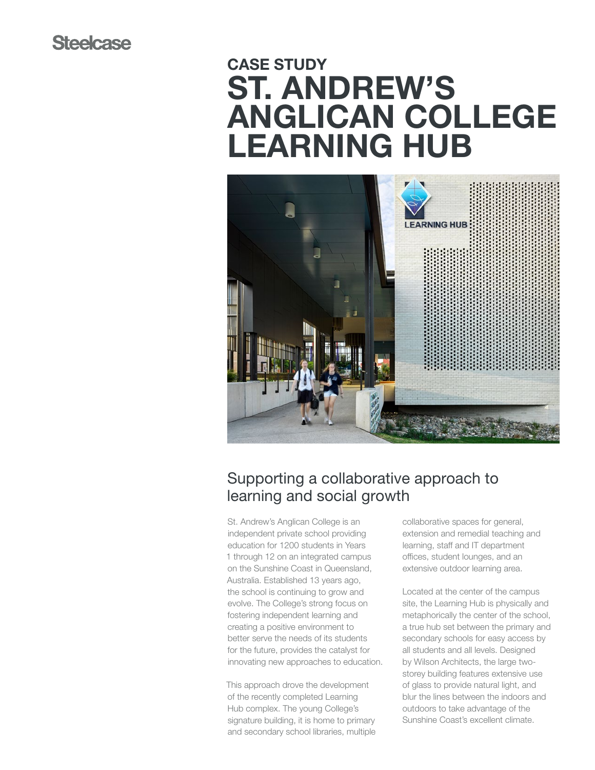# CASE STUDY ST. ANDREW'S ANGLICAN COLLEGE LEARNING HUB



## Supporting a collaborative approach to learning and social growth

St. Andrew's Anglican College is an independent private school providing education for 1200 students in Years 1 through 12 on an integrated campus on the Sunshine Coast in Queensland, Australia. Established 13 years ago, the school is continuing to grow and evolve. The College's strong focus on fostering independent learning and creating a positive environment to better serve the needs of its students for the future, provides the catalyst for innovating new approaches to education.

This approach drove the development of the recently completed Learning Hub complex. The young College's signature building, it is home to primary and secondary school libraries, multiple

collaborative spaces for general, extension and remedial teaching and learning, staff and IT department offices, student lounges, and an extensive outdoor learning area.

Located at the center of the campus site, the Learning Hub is physically and metaphorically the center of the school, a true hub set between the primary and secondary schools for easy access by all students and all levels. Designed by Wilson Architects, the large twostorey building features extensive use of glass to provide natural light, and blur the lines between the indoors and outdoors to take advantage of the Sunshine Coast's excellent climate.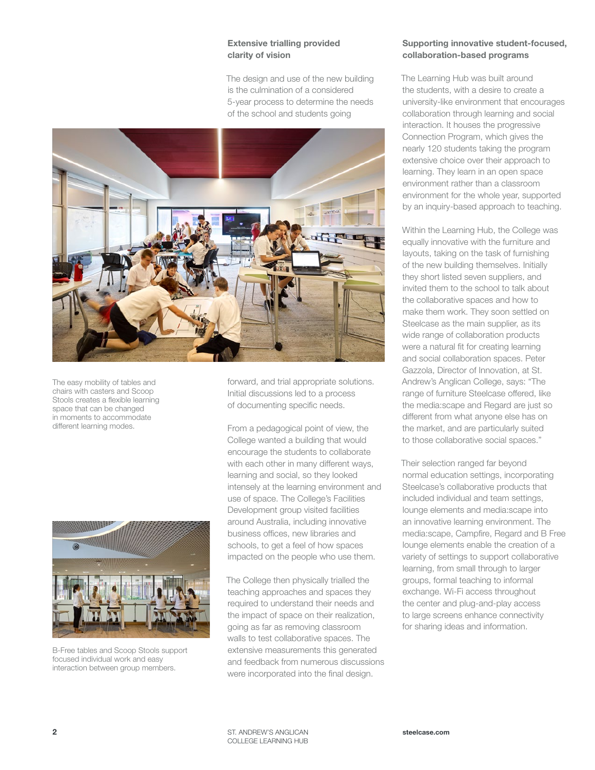#### Extensive trialling provided clarity of vision

The design and use of the new building is the culmination of a considered 5-year process to determine the needs of the school and students going



The easy mobility of tables and chairs with casters and Scoop Stools creates a flexible learning space that can be changed in moments to accommodate different learning modes.



B-Free tables and Scoop Stools support focused individual work and easy interaction between group members.

forward, and trial appropriate solutions. Initial discussions led to a process of documenting specific needs.

From a pedagogical point of view, the College wanted a building that would encourage the students to collaborate with each other in many different ways, learning and social, so they looked intensely at the learning environment and use of space. The College's Facilities Development group visited facilities around Australia, including innovative business offices, new libraries and schools, to get a feel of how spaces impacted on the people who use them.

The College then physically trialled the teaching approaches and spaces they required to understand their needs and the impact of space on their realization, going as far as removing classroom walls to test collaborative spaces. The extensive measurements this generated and feedback from numerous discussions were incorporated into the final design.

#### Supporting innovative student-focused, collaboration-based programs

The Learning Hub was built around the students, with a desire to create a university-like environment that encourages collaboration through learning and social interaction. It houses the progressive Connection Program, which gives the nearly 120 students taking the program extensive choice over their approach to learning. They learn in an open space environment rather than a classroom environment for the whole year, supported by an inquiry-based approach to teaching.

Within the Learning Hub, the College was equally innovative with the furniture and layouts, taking on the task of furnishing of the new building themselves. Initially they short listed seven suppliers, and invited them to the school to talk about the collaborative spaces and how to make them work. They soon settled on Steelcase as the main supplier, as its wide range of collaboration products were a natural fit for creating learning and social collaboration spaces. Peter Gazzola, Director of Innovation, at St. Andrew's Anglican College, says: "The range of furniture Steelcase offered, like the media:scape and Regard are just so different from what anyone else has on the market, and are particularly suited to those collaborative social spaces."

Their selection ranged far beyond normal education settings, incorporating Steelcase's collaborative products that included individual and team settings, lounge elements and media:scape into an innovative learning environment. The media:scape, Campfire, Regard and B Free lounge elements enable the creation of a variety of settings to support collaborative learning, from small through to larger groups, formal teaching to informal exchange. Wi-Fi access throughout the center and plug-and-play access to large screens enhance connectivity for sharing ideas and information.